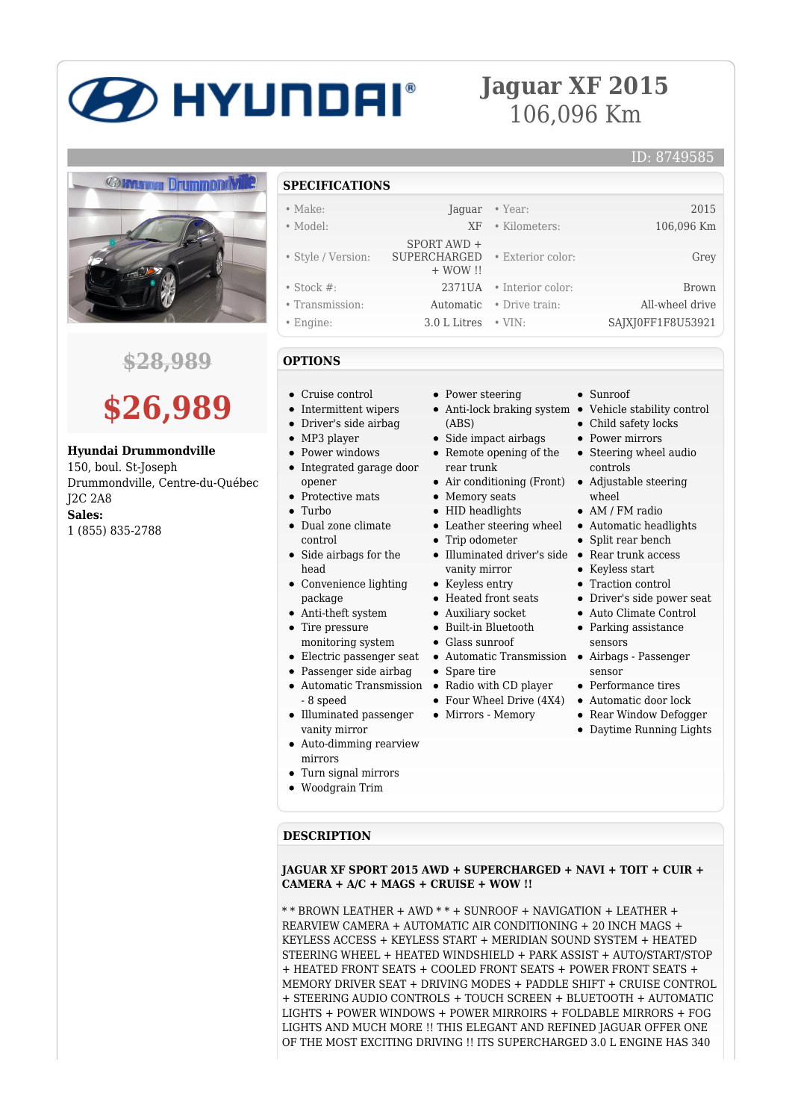# **2D HYUNDAI**®

### **Jaguar XF 2015** 106,096 Km

# *CHANGE Drummontville*

#### **\$28,989**

## **\$26,989**

#### **Hyundai Drummondville**

150, boul. St-Joseph Drummondville, Centre-du-Québec J2C 2A8 **Sales:** 1 (855) 835-2788

#### **SPECIFICATIONS**

| $\bullet$ Make:    | Jaquar                                              | • Year:                  | 2015              |
|--------------------|-----------------------------------------------------|--------------------------|-------------------|
| • Model:           | XF.                                                 | • Kilometers:            | 106,096 Km        |
|                    | SPORT AWD +                                         |                          |                   |
| • Style / Version: | <b>SUPERCHARGED</b> • Exterior color:<br>$+$ WOW !! |                          | Grey              |
|                    |                                                     |                          |                   |
| • Stock $#$ :      |                                                     | 2371UA • Interior color: | <b>Brown</b>      |
| • Transmission:    | Automatic                                           | • Drive train:           | All-wheel drive   |
| • Engine:          | $3.0$ L Litres $\cdot$ VIN:                         |                          | SAJXJ0FF1F8U53921 |

#### **OPTIONS**

- Cruise control
- Intermittent wipers
- Driver's side airbag
- MP3 player  $\blacksquare$
- Power windows
- Integrated garage door opener
- Protective mats
- $\bullet$  Turbo
- Dual zone climate control
- Side airbags for the head
- Convenience lighting package
- Anti-theft system • Tire pressure
- monitoring system
- Electric passenger seat
- Passenger side airbag
- Automatic Transmission  $\bullet$ - 8 speed
- Illuminated passenger vanity mirror
- Auto-dimming rearview mirrors
- Turn signal mirrors
- Woodgrain Trim
- 

#### **DESCRIPTION**

**JAGUAR XF SPORT 2015 AWD + SUPERCHARGED + NAVI + TOIT + CUIR + CAMERA + A/C + MAGS + CRUISE + WOW !!**

\* \* BROWN LEATHER + AWD \* \* + SUNROOF + NAVIGATION + LEATHER + REARVIEW CAMERA + AUTOMATIC AIR CONDITIONING + 20 INCH MAGS + KEYLESS ACCESS + KEYLESS START + MERIDIAN SOUND SYSTEM + HEATED STEERING WHEEL + HEATED WINDSHIELD + PARK ASSIST + AUTO/START/STOP + HEATED FRONT SEATS + COOLED FRONT SEATS + POWER FRONT SEATS + MEMORY DRIVER SEAT + DRIVING MODES + PADDLE SHIFT + CRUISE CONTROL + STEERING AUDIO CONTROLS + TOUCH SCREEN + BLUETOOTH + AUTOMATIC LIGHTS + POWER WINDOWS + POWER MIRROIRS + FOLDABLE MIRRORS + FOG LIGHTS AND MUCH MORE !! THIS ELEGANT AND REFINED JAGUAR OFFER ONE OF THE MOST EXCITING DRIVING !! ITS SUPERCHARGED 3.0 L ENGINE HAS 340

- Power steering Anti-lock braking system • Vehicle stability control (ABS)
- Side impact airbags
- Remote opening of the rear trunk
- Air conditioning (Front) Adjustable steering
- Memory seats
- HID headlights
- Leather steering wheel Automatic headlights
- Trip odometer
- Illuminated driver's side Rear trunk access
- vanity mirror • Keyless entry
- Heated front seats
- Auxiliary socket
- Built-in Bluetooth
- 
- Glass sunroof
- Automatic Transmission Airbags Passenger
- Spare tire
- Radio with CD player
	- Four Wheel Drive (4X4) Automatic door lock
- Mirrors Memory
- Rear Window Defogger Daytime Running Lights

• Performance tires

- Sunroof
	-

ID: 8749585

- Child safety locks
- Power mirrors
- Steering wheel audio controls
- wheel
- AM / FM radio

Keyless start • Traction control Driver's side power seat Auto Climate Control • Parking assistance sensors

sensor

• Split rear bench